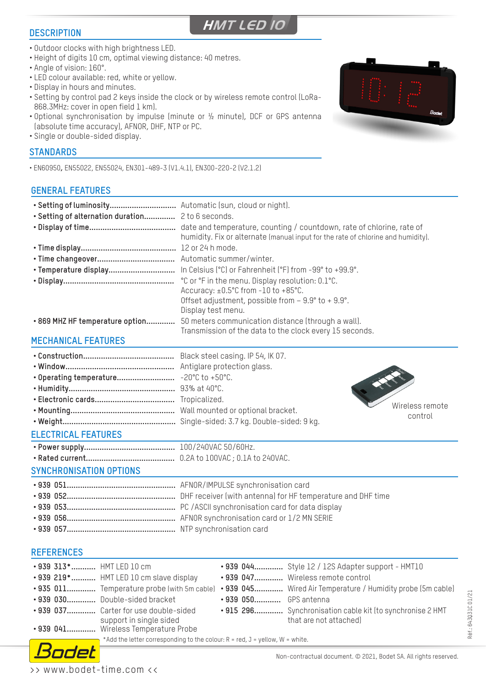#### **DESCRIPTION**

**HMT LED 10**

- Outdoor clocks with high brightness LED.
- Height of digits 10 cm, optimal viewing distance: 40 metres.
- Angle of vision: 160°.
- LED colour available: red, white or yellow.
- Display in hours and minutes.
- Setting by control pad 2 keys inside the clock or by wireless remote control (LoRa-868.3MHz: cover in open field 1 km).
- Optional synchronisation by impulse (minute or ½ minute), DCF or GPS antenna (absolute time accuracy), AFNOR, DHF, NTP or PC.

**• 939 030.............** Double-sided bracket **• 939 050............** GPS antenna

\* Add the letter corresponding to the colour:  $R = red$ ,  $J = yellow$ ,  $W = white$ .

• Single or double-sided display.

### **STANDARDS**

• EN60950**,** EN55022, EN55024, EN301-489-3 (V1.4.1), EN300-220-2 (V2.1.2)

## **GENERAL FEATURES**



Réf.: 643031C 01/21 Réf.: 643Q31C 01/21



ndet

**• 939 037.............** Carter for use double-sided

**• 939 041.............** Wireless Temperature Probe

support in single sided

**• 915 296.............** Synchronisation cable kit (to synchronise 2 HMT that are not attached)